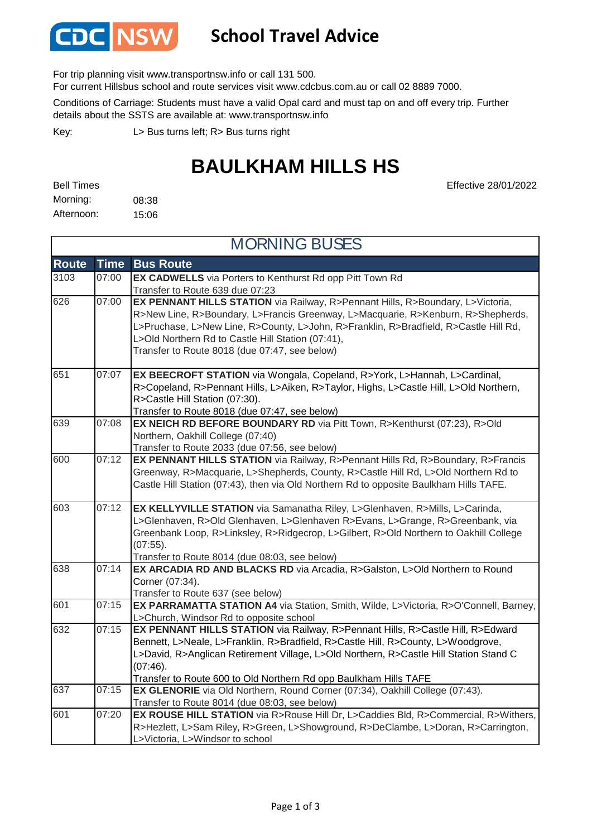

### **School Travel Advice**

For trip planning visit www.transportnsw.info or call 131 500.

For current Hillsbus school and route services visit www.cdcbus.com.au or call 02 8889 7000.

Conditions of Carriage: Students must have a valid Opal card and must tap on and off every trip. Further details about the SSTS are available at: www.transportnsw.info

L> Bus turns left; R> Bus turns right Key:

## **BAULKHAM HILLS HS**

08:38 15:06 Bell Times Morning: Afternoon:

Effective 28/01/2022

| <b>MORNING BUSES</b> |             |                                                                                                                                                                                                                                                                                                                                                                  |  |  |
|----------------------|-------------|------------------------------------------------------------------------------------------------------------------------------------------------------------------------------------------------------------------------------------------------------------------------------------------------------------------------------------------------------------------|--|--|
| <b>Route</b>         | <b>Time</b> | <b>Bus Route</b>                                                                                                                                                                                                                                                                                                                                                 |  |  |
| 3103                 | 07:00       | EX CADWELLS via Porters to Kenthurst Rd opp Pitt Town Rd<br>Transfer to Route 639 due 07:23                                                                                                                                                                                                                                                                      |  |  |
| 626                  | 07:00       | EX PENNANT HILLS STATION via Railway, R>Pennant Hills, R>Boundary, L>Victoria,<br>R>New Line, R>Boundary, L>Francis Greenway, L>Macquarie, R>Kenburn, R>Shepherds,<br>L>Pruchase, L>New Line, R>County, L>John, R>Franklin, R>Bradfield, R>Castle Hill Rd,<br>L>Old Northern Rd to Castle Hill Station (07:41),<br>Transfer to Route 8018 (due 07:47, see below) |  |  |
| 651                  | 07:07       | EX BEECROFT STATION via Wongala, Copeland, R>York, L>Hannah, L>Cardinal,<br>R>Copeland, R>Pennant Hills, L>Aiken, R>Taylor, Highs, L>Castle Hill, L>Old Northern,<br>R>Castle Hill Station (07:30).<br>Transfer to Route 8018 (due 07:47, see below)                                                                                                             |  |  |
| 639                  | 07:08       | EX NEICH RD BEFORE BOUNDARY RD via Pitt Town, R>Kenthurst (07:23), R>Old<br>Northern, Oakhill College (07:40)<br>Transfer to Route 2033 (due 07:56, see below)                                                                                                                                                                                                   |  |  |
| 600                  | 07:12       | EX PENNANT HILLS STATION via Railway, R>Pennant Hills Rd, R>Boundary, R>Francis<br>Greenway, R>Macquarie, L>Shepherds, County, R>Castle Hill Rd, L>Old Northern Rd to<br>Castle Hill Station (07:43), then via Old Northern Rd to opposite Baulkham Hills TAFE.                                                                                                  |  |  |
| 603                  | 07:12       | EX KELLYVILLE STATION via Samanatha Riley, L>Glenhaven, R>Mills, L>Carinda,<br>L>Glenhaven, R>Old Glenhaven, L>Glenhaven R>Evans, L>Grange, R>Greenbank, via<br>Greenbank Loop, R>Linksley, R>Ridgecrop, L>Gilbert, R>Old Northern to Oakhill College<br>$(07:55)$ .<br>Transfer to Route 8014 (due 08:03, see below)                                            |  |  |
| 638                  | 07:14       | EX ARCADIA RD AND BLACKS RD via Arcadia, R>Galston, L>Old Northern to Round<br>Corner (07:34).<br>Transfer to Route 637 (see below)                                                                                                                                                                                                                              |  |  |
| 601                  | 07:15       | EX PARRAMATTA STATION A4 via Station, Smith, Wilde, L>Victoria, R>O'Connell, Barney,<br>L>Church, Windsor Rd to opposite school                                                                                                                                                                                                                                  |  |  |
| 632                  | 07:15       | EX PENNANT HILLS STATION via Railway, R>Pennant Hills, R>Castle Hill, R>Edward<br>Bennett, L>Neale, L>Franklin, R>Bradfield, R>Castle Hill, R>County, L>Woodgrove,<br>L>David, R>Anglican Retirement Village, L>Old Northern, R>Castle Hill Station Stand C<br>(07:46).<br>Transfer to Route 600 to Old Northern Rd opp Baulkham Hills TAFE                      |  |  |
| 637                  | 07:15       | EX GLENORIE via Old Northern, Round Corner (07:34), Oakhill College (07:43).<br>Transfer to Route 8014 (due 08:03, see below)                                                                                                                                                                                                                                    |  |  |
| 601                  | 07:20       | EX ROUSE HILL STATION via R>Rouse Hill Dr, L>Caddies Bld, R>Commercial, R>Withers,<br>R>Hezlett, L>Sam Riley, R>Green, L>Showground, R>DeClambe, L>Doran, R>Carrington,<br>L>Victoria, L>Windsor to school                                                                                                                                                       |  |  |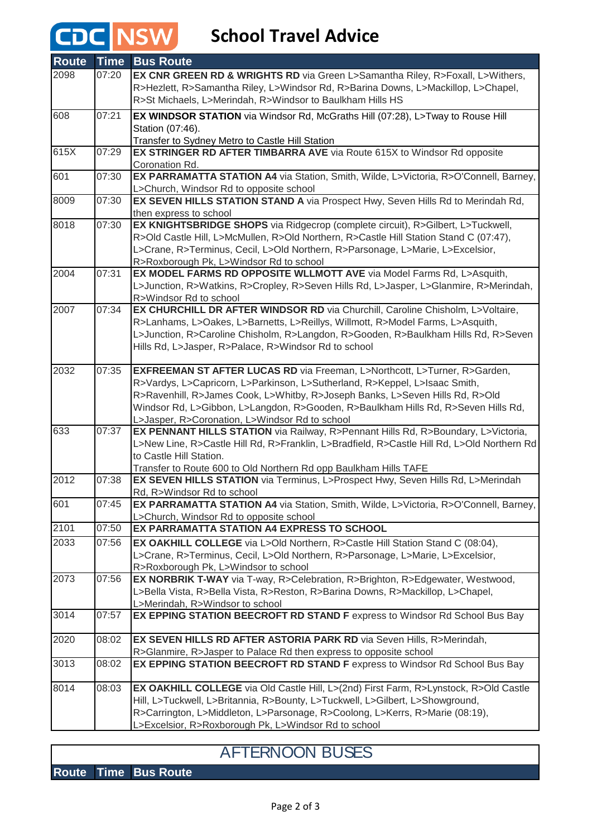# **CDC** NSW School Travel Advice

| <b>Route</b> | <b>Time</b> | <b>Bus Route</b>                                                                                                                                    |
|--------------|-------------|-----------------------------------------------------------------------------------------------------------------------------------------------------|
| 2098         | 07:20       | EX CNR GREEN RD & WRIGHTS RD via Green L>Samantha Riley, R>Foxall, L>Withers,                                                                       |
|              |             | R>Hezlett, R>Samantha Riley, L>Windsor Rd, R>Barina Downs, L>Mackillop, L>Chapel,                                                                   |
|              |             | R>St Michaels, L>Merindah, R>Windsor to Baulkham Hills HS                                                                                           |
| 608          | 07:21       | EX WINDSOR STATION via Windsor Rd, McGraths Hill (07:28), L>Tway to Rouse Hill                                                                      |
|              |             | Station (07:46).                                                                                                                                    |
|              |             | Transfer to Sydney Metro to Castle Hill Station                                                                                                     |
| 615X         | 07:29       | EX STRINGER RD AFTER TIMBARRA AVE via Route 615X to Windsor Rd opposite                                                                             |
|              |             | Coronation Rd.                                                                                                                                      |
| 601          | 07:30       | EX PARRAMATTA STATION A4 via Station, Smith, Wilde, L>Victoria, R>O'Connell, Barney,                                                                |
|              |             | L>Church, Windsor Rd to opposite school                                                                                                             |
| 8009         | 07:30       | EX SEVEN HILLS STATION STAND A via Prospect Hwy, Seven Hills Rd to Merindah Rd,                                                                     |
|              |             | then express to school                                                                                                                              |
| 8018         | 07:30       | EX KNIGHTSBRIDGE SHOPS via Ridgecrop (complete circuit), R>Gilbert, L>Tuckwell,                                                                     |
|              |             | R>Old Castle Hill, L>McMullen, R>Old Northern, R>Castle Hill Station Stand C (07:47),                                                               |
|              |             | L>Crane, R>Terminus, Cecil, L>Old Northern, R>Parsonage, L>Marie, L>Excelsior,                                                                      |
|              |             | R>Roxborough Pk, L>Windsor Rd to school                                                                                                             |
| 2004         | 07:31       | EX MODEL FARMS RD OPPOSITE WLLMOTT AVE via Model Farms Rd, L>Asquith,                                                                               |
|              |             | L>Junction, R>Watkins, R>Cropley, R>Seven Hills Rd, L>Jasper, L>Glanmire, R>Merindah,                                                               |
| 2007         | 07:34       | R>Windsor Rd to school<br>EX CHURCHILL DR AFTER WINDSOR RD via Churchill, Caroline Chisholm, L>Voltaire,                                            |
|              |             | R>Lanhams, L>Oakes, L>Barnetts, L>Reillys, Willmott, R>Model Farms, L>Asquith,                                                                      |
|              |             | L>Junction, R>Caroline Chisholm, R>Langdon, R>Gooden, R>Baulkham Hills Rd, R>Seven                                                                  |
|              |             | Hills Rd, L>Jasper, R>Palace, R>Windsor Rd to school                                                                                                |
|              |             |                                                                                                                                                     |
| 2032         | 07:35       | EXFREEMAN ST AFTER LUCAS RD via Freeman, L>Northcott, L>Turner, R>Garden,                                                                           |
|              |             | R>Vardys, L>Capricorn, L>Parkinson, L>Sutherland, R>Keppel, L>Isaac Smith,                                                                          |
|              |             | R>Ravenhill, R>James Cook, L>Whitby, R>Joseph Banks, L>Seven Hills Rd, R>Old                                                                        |
|              |             | Windsor Rd, L>Gibbon, L>Langdon, R>Gooden, R>Baulkham Hills Rd, R>Seven Hills Rd,                                                                   |
|              |             | L>Jasper, R>Coronation, L>Windsor Rd to school                                                                                                      |
| 633          | 07:37       | EX PENNANT HILLS STATION via Railway, R>Pennant Hills Rd, R>Boundary, L>Victoria,                                                                   |
|              |             | L>New Line, R>Castle Hill Rd, R>Franklin, L>Bradfield, R>Castle Hill Rd, L>Old Northern Rd                                                          |
|              |             | to Castle Hill Station.                                                                                                                             |
| 2012         | 07:38       | Transfer to Route 600 to Old Northern Rd opp Baulkham Hills TAFE<br>EX SEVEN HILLS STATION via Terminus, L>Prospect Hwy, Seven Hills Rd, L>Merindah |
|              |             | Rd, R>Windsor Rd to school                                                                                                                          |
| 601          | 07:45       | EX PARRAMATTA STATION A4 via Station, Smith, Wilde, L>Victoria, R>O'Connell, Barney,                                                                |
|              |             | L>Church, Windsor Rd to opposite school                                                                                                             |
| 2101         | 07:50       | EX PARRAMATTA STATION A4 EXPRESS TO SCHOOL                                                                                                          |
| 2033         | 07:56       | EX OAKHILL COLLEGE via L>Old Northern, R>Castle Hill Station Stand C (08:04),                                                                       |
|              |             | L>Crane, R>Terminus, Cecil, L>Old Northern, R>Parsonage, L>Marie, L>Excelsior,                                                                      |
|              |             | R>Roxborough Pk, L>Windsor to school                                                                                                                |
| 2073         | 07:56       | EX NORBRIK T-WAY via T-way, R>Celebration, R>Brighton, R>Edgewater, Westwood,                                                                       |
|              |             | L>Bella Vista, R>Bella Vista, R>Reston, R>Barina Downs, R>Mackillop, L>Chapel,                                                                      |
|              |             | L>Merindah, R>Windsor to school                                                                                                                     |
| 3014         | 07:57       | EX EPPING STATION BEECROFT RD STAND F express to Windsor Rd School Bus Bay                                                                          |
|              |             |                                                                                                                                                     |
| 2020         | 08:02       | EX SEVEN HILLS RD AFTER ASTORIA PARK RD via Seven Hills, R>Merindah,                                                                                |
|              |             | R>Glanmire, R>Jasper to Palace Rd then express to opposite school                                                                                   |
| 3013         | 08:02       | EX EPPING STATION BEECROFT RD STAND F express to Windsor Rd School Bus Bay                                                                          |
| 8014         | 08:03       | EX OAKHILL COLLEGE via Old Castle Hill, L>(2nd) First Farm, R>Lynstock, R>Old Castle                                                                |
|              |             | Hill, L>Tuckwell, L>Britannia, R>Bounty, L>Tuckwell, L>Gilbert, L>Showground,                                                                       |
|              |             | R>Carrington, L>Middleton, L>Parsonage, R>Coolong, L>Kerrs, R>Marie (08:19),                                                                        |
|              |             | L>Excelsior, R>Roxborough Pk, L>Windsor Rd to school                                                                                                |

### AFTERNOON BUSES

### **Route Time Bus Route**